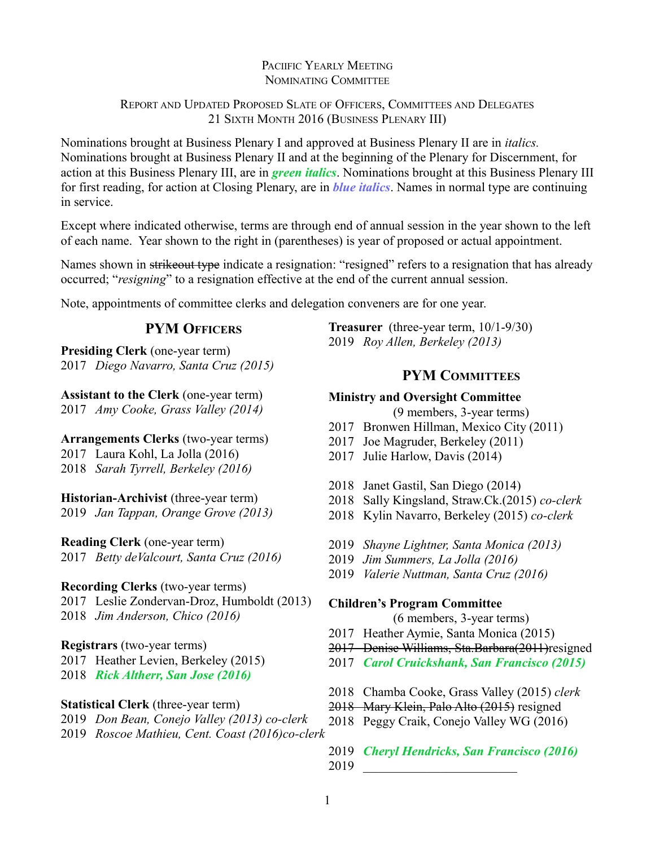# PACIIFIC YEARLY MEETING NOMINATING COMMITTEE

# REPORT AND UPDATED PROPOSED SLATE OF OFFICERS, COMMITTEES AND DELEGATES 21 SIXTH MONTH 2016 (BUSINESS PLENARY III)

Nominations brought at Business Plenary I and approved at Business Plenary II are in *italics.*  Nominations brought at Business Plenary II and at the beginning of the Plenary for Discernment, for action at this Business Plenary III, are in *green italics*. Nominations brought at this Business Plenary III for first reading, for action at Closing Plenary, are in *blue italics*. Names in normal type are continuing in service.

Except where indicated otherwise, terms are through end of annual session in the year shown to the left of each name. Year shown to the right in (parentheses) is year of proposed or actual appointment.

Names shown in strikeout type indicate a resignation: "resigned" refers to a resignation that has already occurred; "*resigning*" to a resignation effective at the end of the current annual session.

Note, appointments of committee clerks and delegation conveners are for one year.

# **PYM OFFICERS**

**Presiding Clerk** (one-year term) 2017 *Diego Navarro, Santa Cruz (2015)*

**Assistant to the Clerk** (one-year term) 2017 *Amy Cooke, Grass Valley (2014)*

**Arrangements Clerks** (two-year terms)

2017 Laura Kohl, La Jolla (2016)

2018 *Sarah Tyrrell, Berkeley (2016)*

**Historian-Archivist** (three-year term)

2019 *Jan Tappan, Orange Grove (2013)*

**Reading Clerk** (one-year term)

2017 *Betty deValcourt, Santa Cruz (2016)*

# **Recording Clerks** (two-year terms)

2017 Leslie Zondervan-Droz, Humboldt (2013) 2018 *Jim Anderson, Chico (2016)*

# **Registrars** (two-year terms)

2017 Heather Levien, Berkeley (2015)

- 2018 *Rick Altherr, San Jose (2016)*
- **Statistical Clerk** (three-year term)
- 2019 *Don Bean, Conejo Valley (2013) co-clerk*
- 2019 *Roscoe Mathieu, Cent. Coast (2016)co-clerk*

**Treasurer** (three-year term, 10/1-9/30) 2019 *Roy Allen, Berkeley (2013)*

# **PYM COMMITTEES**

# **Ministry and Oversight Committee**

(9 members, 3-year terms)

- 2017 Bronwen Hillman, Mexico City (2011)
- 2017 Joe Magruder, Berkeley (2011)
- 2017 Julie Harlow, Davis (2014)
- 2018 Janet Gastil, San Diego (2014)
- 2018 Sally Kingsland, Straw.Ck.(2015) *co-clerk*
- 2018 Kylin Navarro, Berkeley (2015) *co-clerk*
- 2019 *Shayne Lightner, Santa Monica (2013)*
- 2019 *Jim Summers, La Jolla (2016)*
- 2019 *Valerie Nuttman, Santa Cruz (2016)*

# **Children's Program Committee**

(6 members, 3-year terms)

- 2017 Heather Aymie, Santa Monica (2015)
- 2017 Denise Williams, Sta.Barbara(2011)resigned
- 2017 *Carol Cruickshank, San Francisco (2015)*
- 2018 Chamba Cooke, Grass Valley (2015) *clerk*
- 2018 Mary Klein, Palo Alto (2015) resigned
- 2018 Peggy Craik, Conejo Valley WG (2016)
- 2019 *Cheryl Hendricks, San Francisco (2016)*
- 2019 \_\_\_\_\_\_\_\_\_\_\_\_\_\_\_\_\_\_\_\_\_\_\_\_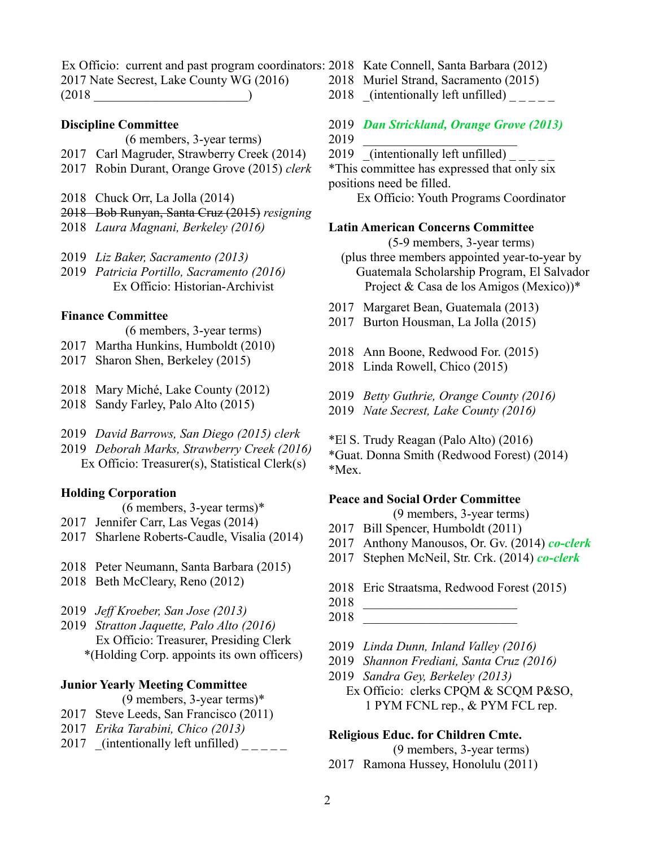Ex Officio: current and past program coordinators: 2018 Kate Connell, Santa Barbara (2012) 2017 Nate Secrest, Lake County WG (2016)  $(2018$ 

#### **Discipline Committee**

(6 members, 3-year terms)

- 2017 Carl Magruder, Strawberry Creek (2014)
- 2017 Robin Durant, Orange Grove (2015) *clerk*
- 2018 Chuck Orr, La Jolla (2014)
- 2018 Bob Runyan, Santa Cruz (2015) *resigning*
- 2018 *Laura Magnani, Berkeley (2016)*
- 2019 *Liz Baker, Sacramento (2013)*
- 2019 *Patricia Portillo, Sacramento (2016)* Ex Officio: Historian-Archivist

#### **Finance Committee**

- (6 members, 3-year terms)
- 2017 Martha Hunkins, Humboldt (2010)
- 2017 Sharon Shen, Berkeley (2015)
- 2018 Mary Miché, Lake County (2012)
- 2018 Sandy Farley, Palo Alto (2015)
- 2019 *David Barrows, San Diego (2015) clerk*
- 2019 *Deborah Marks, Strawberry Creek (2016)* Ex Officio: Treasurer(s), Statistical Clerk(s)

#### **Holding Corporation**

- (6 members, 3-year terms)\*
- 2017 Jennifer Carr, Las Vegas (2014)
- 2017 Sharlene Roberts-Caudle, Visalia (2014)
- 2018 Peter Neumann, Santa Barbara (2015)
- 2018 Beth McCleary, Reno (2012)
- 2019 *Jeff Kroeber, San Jose (2013)*
- 2019 *Stratton Jaquette, Palo Alto (2016)* Ex Officio: Treasurer, Presiding Clerk \*(Holding Corp. appoints its own officers)

#### **Junior Yearly Meeting Committee**

- (9 members, 3-year terms)\*
- 2017 Steve Leeds, San Francisco (2011)
- 2017 *Erika Tarabini, Chico (2013)*
- 2017 (intentionally left unfilled)
- 
- 2018 Muriel Strand, Sacramento (2015)
- 2018  $(intentially left unfilled)$
- 2019 *Dan Strickland, Orange Grove (2013)* 2019 \_\_\_\_\_\_\_\_\_\_\_\_\_\_\_\_\_\_\_\_\_\_\_\_
- $2019$  (intentionally left unfilled)
- \*This committee has expressed that only six positions need be filled.

Ex Officio: Youth Programs Coordinator

#### **Latin American Concerns Committee**

(5-9 members, 3-year terms)

- (plus three members appointed year-to-year by Guatemala Scholarship Program, El Salvador Project & Casa de los Amigos (Mexico))\*
- 2017 Margaret Bean, Guatemala (2013)
- 2017 Burton Housman, La Jolla (2015)
- 2018 Ann Boone, Redwood For. (2015)
- 2018 Linda Rowell, Chico (2015)
- 2019 *Betty Guthrie, Orange County (2016)*
- 2019 *Nate Secrest, Lake County (2016)*
- \*El S. Trudy Reagan (Palo Alto) (2016)

\*Guat. Donna Smith (Redwood Forest) (2014) \*Mex.

#### **Peace and Social Order Committee**

(9 members, 3-year terms)

- 2017 Bill Spencer, Humboldt (2011)
- 2017 Anthony Manousos, Or. Gv. (2014) *co-clerk*
- 2017 Stephen McNeil, Str. Crk. (2014) *co-clerk*
- 2018 Eric Straatsma, Redwood Forest (2015)
- 2018 \_\_\_\_\_\_\_\_\_\_\_\_\_\_\_\_\_\_\_\_\_\_\_\_
- 2018 \_\_\_\_\_\_\_\_\_\_\_\_\_\_\_\_\_\_\_\_\_\_\_\_
- 2019 *Linda Dunn, Inland Valley (2016)*
- 2019 *Shannon Frediani, Santa Cruz (2016)*
- 2019 *Sandra Gey, Berkeley (2013)* Ex Officio: clerks CPQM & SCQM P&SO, 1 PYM FCNL rep., & PYM FCL rep.

#### **Religious Educ. for Children Cmte.**

(9 members, 3-year terms)

2017 Ramona Hussey, Honolulu (2011)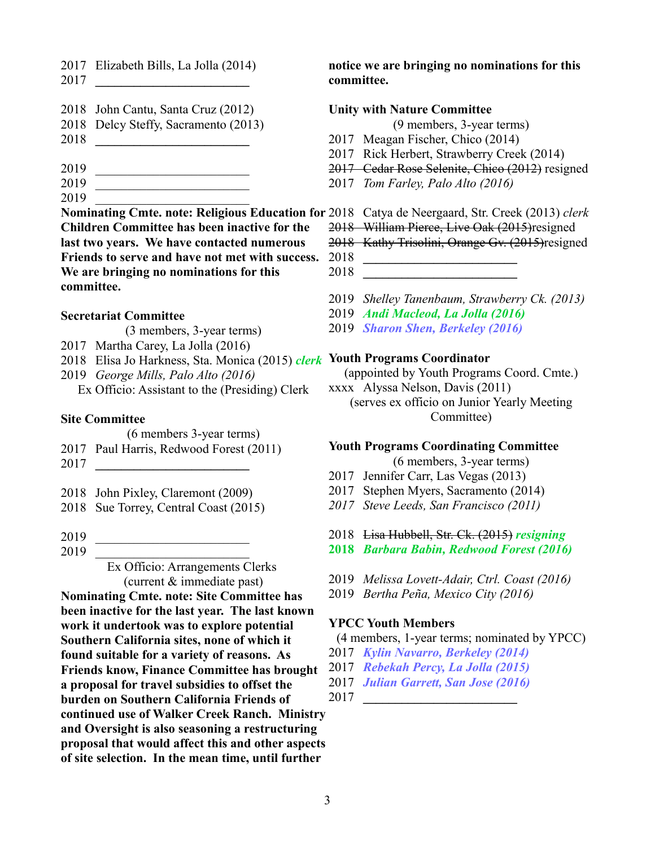2017 Elizabeth Bills, La Jolla (2014)

- 2017 **\_\_\_\_\_\_\_\_\_\_\_\_\_\_\_\_\_\_\_\_\_\_\_\_**
- 2018 John Cantu, Santa Cruz (2012)
- 2018 Delcy Steffy, Sacramento (2013)
- 2018 **\_\_\_\_\_\_\_\_\_\_\_\_\_\_\_\_\_\_\_\_\_\_\_\_**
- 2019 \_\_\_\_\_\_\_\_\_\_\_\_\_\_\_\_\_\_\_\_\_\_\_\_
- 2019 \_\_\_\_\_\_\_\_\_\_\_\_\_\_\_\_\_\_\_\_\_\_\_\_
- 2019 \_\_\_\_\_\_\_\_\_\_\_\_\_\_\_\_\_\_\_\_\_\_\_\_
- 

**Children Committee has been inactive for the last two years. We have contacted numerous Friends to serve and have not met with success. We are bringing no nominations for this committee.**

# **Secretariat Committee**

- (3 members, 3-year terms)
- 2017 Martha Carey, La Jolla (2016)
- 2018 Elisa Jo Harkness, Sta. Monica (2015) *clerk* **Youth Programs Coordinator**
- 2019 *George Mills, Palo Alto (2016)*
	- Ex Officio: Assistant to the (Presiding) Clerk

# **Site Committee**

- (6 members 3-year terms)
- 2017 Paul Harris, Redwood Forest (2011)
- 2017 **\_\_\_\_\_\_\_\_\_\_\_\_\_\_\_\_\_\_\_\_\_\_\_\_**
- 2018 John Pixley, Claremont (2009)
- 2018 Sue Torrey, Central Coast (2015)
- 2019 \_\_\_\_\_\_\_\_\_\_\_\_\_\_\_\_\_\_\_\_\_\_\_\_
- 2019

Ex Officio: Arrangements Clerks (current & immediate past)

**Nominating Cmte. note: Site Committee has been inactive for the last year. The last known work it undertook was to explore potential Southern California sites, none of which it found suitable for a variety of reasons. As Friends know, Finance Committee has brought a proposal for travel subsidies to offset the burden on Southern California Friends of continued use of Walker Creek Ranch. Ministry and Oversight is also seasoning a restructuring proposal that would affect this and other aspects of site selection. In the mean time, until further** 

**notice we are bringing no nominations for this committee.**

## **Unity with Nature Committee**

(9 members, 3-year terms)

- 2017 Meagan Fischer, Chico (2014)
- 2017 Rick Herbert, Strawberry Creek (2014)
- 2017 Cedar Rose Selenite, Chico (2012) resigned
- 2017 *Tom Farley, Palo Alto (2016)*

# **Nominating Cmte. note: Religious Education for** 2018 Catya de Neergaard, Str. Creek (2013) *clerk*

- 2018 William Pierce, Live Oak (2015)resigned
- 2018Kathy Trisolini, Orange Gv. (2015)resigned
- 2018 **\_\_\_\_\_\_\_\_\_\_\_\_\_\_\_\_\_\_\_\_\_\_\_\_**
- 2018 **\_\_\_\_\_\_\_\_\_\_\_\_\_\_\_\_\_\_\_\_\_\_\_\_**
- 2019 *Shelley Tanenbaum, Strawberry Ck. (2013)*
- 2019 *Andi Macleod, La Jolla (2016)*
- 2019 *Sharon Shen, Berkeley (2016)*

(appointed by Youth Programs Coord. Cmte.)

xxxx Alyssa Nelson, Davis (2011) (serves ex officio on Junior Yearly Meeting Committee)

# **Youth Programs Coordinating Committee**

(6 members, 3-year terms)

- 2017 Jennifer Carr, Las Vegas (2013)
- 2017 Stephen Myers, Sacramento (2014)
- *2017 Steve Leeds, San Francisco (2011)*
- 2018 Lisa Hubbell, Str. Ck. (2015) *resigning*
- **2018** *Barbara Babin, Redwood Forest (2016)*
- 2019 *Melissa Lovett-Adair, Ctrl. Coast (2016)*
- 2019 *Bertha Peña, Mexico City (2016)*

# **YPCC Youth Members**

# (4 members, 1-year terms; nominated by YPCC)

- 2017 *Kylin Navarro, Berkeley (2014)*
- 2017 *Rebekah Percy, La Jolla (2015)*
- 2017 *Julian Garrett, San Jose (2016)*

2017 **\_\_\_\_\_\_\_\_\_\_\_\_\_\_\_\_\_\_\_\_\_\_\_\_**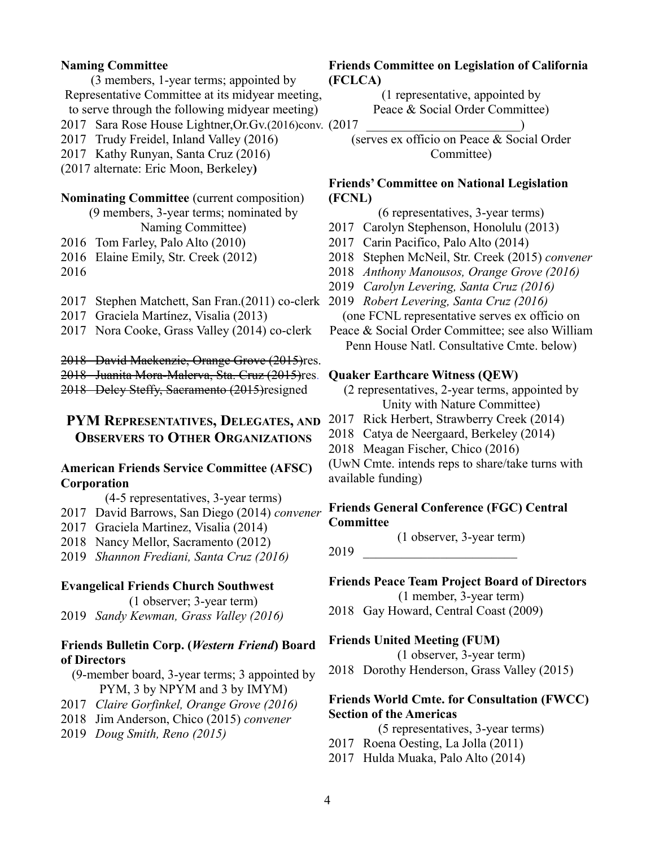## **Naming Committee**

(3 members, 1-year terms; appointed by Representative Committee at its midyear meeting,

to serve through the following midyear meeting)

2017 Sara Rose House Lightner,Or.Gv.(2016)conv. (2017 \_\_\_\_\_\_\_\_\_\_\_\_\_\_\_\_\_\_\_\_\_\_\_\_)

2017 Trudy Freidel, Inland Valley (2016)

2017 Kathy Runyan, Santa Cruz (2016)

(2017 alternate: Eric Moon, Berkeley**)**

## **Nominating Committee** (current composition)

(9 members, 3-year terms; nominated by Naming Committee)

2016 Tom Farley, Palo Alto (2010)

2016 Elaine Emily, Str. Creek (2012)

2016

- 2017 Stephen Matchett, San Fran.(2011) co-clerk 2019 *Robert Levering, Santa Cruz (2016)*
- 2017 Graciela Martínez, Visalia (2013)

2017 Nora Cooke, Grass Valley (2014) co-clerk

2018 David Mackenzie, Orange Grove (2015)res.

2018 Juanita Mora-Malerva, Sta. Cruz (2015)res. 2018 Delcy Steffy, Sacramento (2015)resigned

# **PYM REPRESENTATIVES, DELEGATES, AND** 2017 Rick Herbert, Strawberry Creek (2014) **OBSERVERS TO OTHER ORGANIZATIONS**

## **American Friends Service Committee (AFSC) Corporation**

(4-5 representatives, 3-year terms)

- 2017 David Barrows, San Diego (2014) *convener*
- 2017 Graciela Martinez, Visalia (2014)
- 2018 Nancy Mellor, Sacramento (2012)

2019 *Shannon Frediani, Santa Cruz (2016)*

#### **Evangelical Friends Church Southwest**

(1 observer; 3-year term)

2019 *Sandy Kewman, Grass Valley (2016)*

## **Friends Bulletin Corp. (***Western Friend***) Board of Directors**

(9-member board, 3-year terms; 3 appointed by PYM, 3 by NPYM and 3 by IMYM)

- 2017 *Claire Gorfinkel, Orange Grove (2016)*
- 2018 Jim Anderson, Chico (2015) *convener*
- 2019 *Doug Smith, Reno (2015)*

## **Friends Committee on Legislation of California (FCLCA)**

(1 representative, appointed by Peace & Social Order Committee)

(serves ex officio on Peace & Social Order Committee)

## **Friends' Committee on National Legislation (FCNL)**

(6 representatives, 3-year terms)

- 2017 Carolyn Stephenson, Honolulu (2013)
- 2017 Carin Pacifico, Palo Alto (2014)
- 2018 Stephen McNeil, Str. Creek (2015) *convener*
- 2018 *Anthony Manousos, Orange Grove (2016)*
- 2019 *Carolyn Levering, Santa Cruz (2016)*

(one FCNL representative serves ex officio on

Peace & Social Order Committee; see also William Penn House Natl. Consultative Cmte. below)

#### **Quaker Earthcare Witness (QEW)**

(2 representatives, 2-year terms, appointed by Unity with Nature Committee)

- 
- 2018 Catya de Neergaard, Berkeley (2014)
- 2018 Meagan Fischer, Chico (2016)

(UwN Cmte. intends reps to share/take turns with available funding)

## **Friends General Conference (FGC) Central Committee**

(1 observer, 3-year term)

2019 \_\_\_\_\_\_\_\_\_\_\_\_\_\_\_\_\_\_\_\_\_\_\_\_

**Friends Peace Team Project Board of Directors** (1 member, 3-year term)

2018 Gay Howard, Central Coast (2009)

#### **Friends United Meeting (FUM)**

(1 observer, 3-year term) 2018 Dorothy Henderson, Grass Valley (2015)

## **Friends World Cmte. for Consultation (FWCC) Section of the Americas**

(5 representatives, 3-year terms)

- 2017 Roena Oesting, La Jolla (2011)
- 2017 Hulda Muaka, Palo Alto (2014)